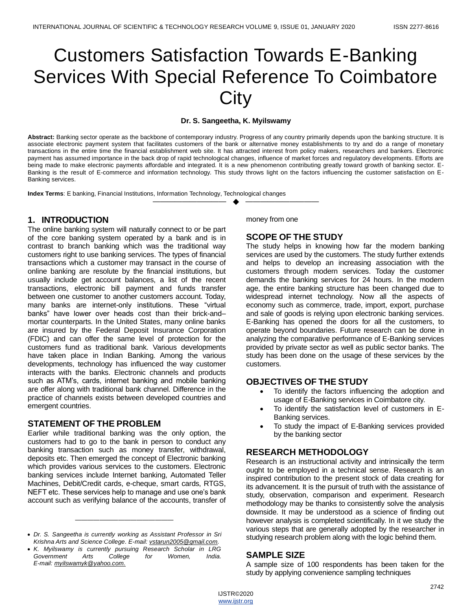# Customers Satisfaction Towards E-Banking Services With Special Reference To Coimbatore **City**

#### **Dr. S. Sangeetha, K. Myilswamy**

**Abstract:** Banking sector operate as the backbone of contemporary industry. Progress of any country primarily depends upon the banking structure. It is associate electronic payment system that facilitates customers of the bank or alternative money establishments to try and do a range of monetary transactions in the entire time the financial establishment web site. It has attracted interest from policy makers, researchers and bankers. Electronic payment has assumed importance in the back drop of rapid technological changes, influence of market forces and regulatory developments. Efforts are being made to make electronic payments affordable and integrated. It is a new phenomenon contributing greatly toward growth of banking sector. E-Banking is the result of E-commerce and information technology. This study throws light on the factors influencing the customer satisfaction on E-Banking services.

—————————— ◆ ——————————

**Index Terms**: E banking, Financial Institutions, Information Technology, Technological changes

## **1. INTRODUCTION**

The online banking system will naturally connect to or be part of the core banking system operated by a bank and is in contrast to branch banking which was the traditional way customers right to use banking services. The types of financial transactions which a customer may transact in the course of online banking are resolute by the financial institutions, but usually include get account balances, a list of the recent transactions, electronic bill payment and funds transfer between one customer to another customers account. Today, many banks are internet-only institutions. These "virtual banks" have lower over heads cost than their brick-and– mortar counterparts. In the United States, many online banks are insured by the Federal Deposit Insurance Corporation (FDIC) and can offer the same level of protection for the customers fund as traditional bank. Various developments have taken place in Indian Banking. Among the various developments, technology has influenced the way customer interacts with the banks. Electronic channels and products such as ATM's, cards, internet banking and mobile banking are offer along with traditional bank channel. Difference in the practice of channels exists between developed countries and emergent countries.

#### **STATEMENT OF THE PROBLEM**

Earlier while traditional banking was the only option, the customers had to go to the bank in person to conduct any banking transaction such as money transfer, withdrawal, deposits etc. Then emerged the concept of Electronic banking which provides various services to the customers. Electronic banking services include Internet banking, Automated Teller Machines, Debit/Credit cards, e-cheque, smart cards, RTGS, NEFT etc. These services help to manage and use one's bank account such as verifying balance of the accounts, transfer of

————————————————

money from one

# **SCOPE OF THE STUDY**

The study helps in knowing how far the modern banking services are used by the customers. The study further extends and helps to develop an increasing association with the customers through modern services. Today the customer demands the banking services for 24 hours. In the modern age, the entire banking structure has been changed due to widespread internet technology. Now all the aspects of economy such as commerce, trade, import, export, purchase and sale of goods is relying upon electronic banking services. E-Banking has opened the doors for all the customers, to operate beyond boundaries. Future research can be done in analyzing the comparative performance of E-Banking services provided by private sector as well as public sector banks. The study has been done on the usage of these services by the customers.

#### **OBJECTIVES OF THE STUDY**

- To identify the factors influencing the adoption and usage of E-Banking services in Coimbatore city.
- To identify the satisfaction level of customers in E-Banking services.
- To study the impact of E-Banking services provided by the banking sector

## **RESEARCH METHODOLOGY**

Research is an instructional activity and intrinsically the term ought to be employed in a technical sense. Research is an inspired contribution to the present stock of data creating for its advancement. It is the pursuit of truth with the assistance of study, observation, comparison and experiment. Research methodology may be thanks to consistently solve the analysis downside. It may be understood as a science of finding out however analysis is completed scientifically. In it we study the various steps that are generally adopted by the researcher in studying research problem along with the logic behind them.

## **SAMPLE SIZE**

A sample size of 100 respondents has been taken for the study by applying convenience sampling techniques

<sup>•</sup> *Dr. S. Sangeetha is currently working as Assistant Professor in Sri Krishna Arts and Science College. E-mail: [vstarun2005@gmail.com.](mailto:vstarun2005@gmail.com)*

<sup>•</sup> *K. Myilswamy is currently pursuing Research Scholar in LRG Government Arts College for Women, India. E-mail[: myilswamyk@yahoo.com.](mailto:myilswamyk@yahoo.com)*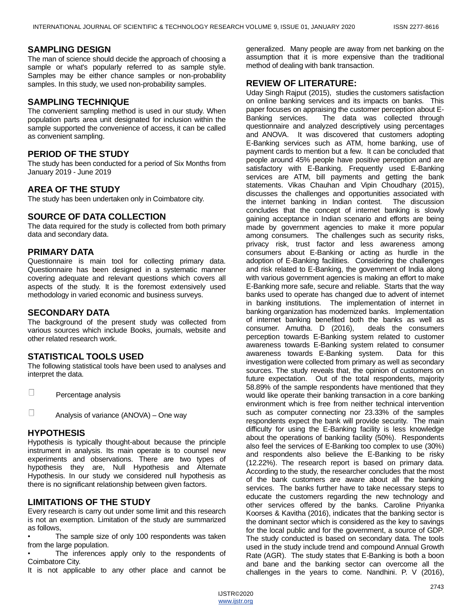## **SAMPLING DESIGN**

The man of science should decide the approach of choosing a sample or what's popularly referred to as sample style. Samples may be either chance samples or non-probability samples. In this study, we used non-probability samples.

## **SAMPLING TECHNIQUE**

The convenient sampling method is used in our study. When population parts area unit designated for inclusion within the sample supported the convenience of access, it can be called as convenient sampling.

## **PERIOD OF THE STUDY**

The study has been conducted for a period of Six Months from January 2019 - June 2019

## **AREA OF THE STUDY**

The study has been undertaken only in Coimbatore city.

## **SOURCE OF DATA COLLECTION**

The data required for the study is collected from both primary data and secondary data.

#### **PRIMARY DATA**

Questionnaire is main tool for collecting primary data. Questionnaire has been designed in a systematic manner covering adequate and relevant questions which covers all aspects of the study. It is the foremost extensively used methodology in varied economic and business surveys.

#### **SECONDARY DATA**

The background of the present study was collected from various sources which include Books, journals, website and other related research work.

#### **STATISTICAL TOOLS USED**

The following statistical tools have been used to analyses and interpret the data.

П Percentage analysis

П Analysis of variance (ANOVA) – One way

## **HYPOTHESIS**

Hypothesis is typically thought-about because the principle instrument in analysis. Its main operate is to counsel new experiments and observations. There are two types of hypothesis they are, Null Hypothesis and Alternate Hypothesis. In our study we considered null hypothesis as there is no significant relationship between given factors.

# **LIMITATIONS OF THE STUDY**

Every research is carry out under some limit and this research is not an exemption. Limitation of the study are summarized as follows,

The sample size of only 100 respondents was taken from the large population.

The inferences apply only to the respondents of Coimbatore City.

It is not applicable to any other place and cannot be

generalized. Many people are away from net banking on the assumption that it is more expensive than the traditional method of dealing with bank transaction.

#### **REVIEW OF LITERATURE:**

Uday Singh Rajput (2015), studies the customers satisfaction on online banking services and its impacts on banks. This paper focuses on appraising the customer perception about E-Banking services. The data was collected through questionnaire and analyzed descriptively using percentages and ANOVA. It was discovered that customers adopting E-Banking services such as ATM, home banking, use of payment cards to mention but a few. It can be concluded that people around 45% people have positive perception and are satisfactory with E-Banking. Frequently used E-Banking services are ATM, bill payments and getting the bank statements. Vikas Chauhan and Vipin Choudhary (2015), discusses the challenges and opportunities associated with the internet banking in Indian contest. The discussion concludes that the concept of internet banking is slowly gaining acceptance in Indian scenario and efforts are being made by government agencies to make it more popular among consumers. The challenges such as security risks, privacy risk, trust factor and less awareness among consumers about E-Banking or acting as hurdle in the adoption of E-Banking facilities. Considering the challenges and risk related to E-Banking, the government of India along with various government agencies is making an effort to make E-Banking more safe, secure and reliable. Starts that the way banks used to operate has changed due to advent of internet in banking institutions. The implementation of internet in banking organization has modernized banks. Implementation of internet banking benefited both the banks as well as consumer. Amutha. D (2016), deals the consumers perception towards E-Banking system related to customer awareness towards E-Banking system related to consumer awareness towards E-Banking system. Data for this investigation were collected from primary as well as secondary sources. The study reveals that, the opinion of customers on future expectation. Out of the total respondents, majority 58.89% of the sample respondents have mentioned that they would like operate their banking transaction in a core banking environment which is free from neither technical intervention such as computer connecting nor 23.33% of the samples respondents expect the bank will provide security. The main difficulty for using the E-Banking facility is less knowledge about the operations of banking facility (50%). Respondents also feel the services of E-Banking too complex to use (30%) and respondents also believe the E-Banking to be risky (12.22%). The research report is based on primary data. According to the study, the researcher concludes that the most of the bank customers are aware about all the banking services. The banks further have to take necessary steps to educate the customers regarding the new technology and other services offered by the banks. Caroline Priyanka Koorses & Kavitha (2016), indicates that the banking sector is the dominant sector which is considered as the key to savings for the local public and for the government, a source of GDP. The study conducted is based on secondary data. The tools used in the study include trend and compound Annual Growth Rate (AGR). The study states that E-Banking is both a boon and bane and the banking sector can overcome all the challenges in the years to come. Nandhini. P. V (2016),

IJSTR©2020 [www.ijstr.org](http://www.ijstr.org/)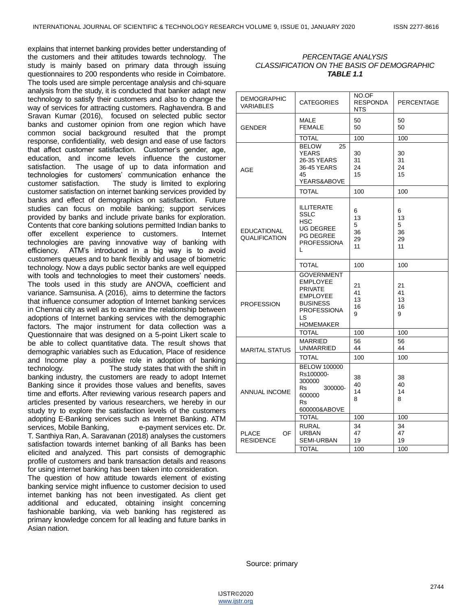explains that internet banking provides better understanding of the customers and their attitudes towards technology. The study is mainly based on primary data through issuing questionnaires to 200 respondents who reside in Coimbatore. The tools used are simple percentage analysis and chi-square analysis from the study, it is conducted that banker adapt new technology to satisfy their customers and also to change the way of services for attracting customers. Raghavendra. B and Sravan Kumar (2016), focused on selected public sector banks and customer opinion from one region which have common social background resulted that the prompt response, confidentiality, web design and ease of use factors that affect customer satisfaction. Customer's gender, age, education, and income levels influence the customer satisfaction. The usage of up to data information and technologies for customers' communication enhance the customer satisfaction. The study is limited to exploring customer satisfaction on internet banking services provided by banks and effect of demographics on satisfaction. Future studies can focus on mobile banking; support services provided by banks and include private banks for exploration. Contents that core banking solutions permitted Indian banks to offer excellent experience to customers. Internet technologies are paving innovative way of banking with efficiency. ATM's introduced in a big way is to avoid customers queues and to bank flexibly and usage of biometric technology. Now a days public sector banks are well equipped with tools and technologies to meet their customers' needs. The tools used in this study are ANOVA, coefficient and variance. Samsunisa. A (2016), aims to determine the factors that influence consumer adoption of Internet banking services in Chennai city as well as to examine the relationship between adoptions of Internet banking services with the demographic factors. The major instrument for data collection was a Questionnaire that was designed on a 5-point Likert scale to be able to collect quantitative data. The result shows that demographic variables such as Education, Place of residence and Income play a positive role in adoption of banking technology. The study states that with the shift in banking industry, the customers are ready to adopt Internet Banking since it provides those values and benefits, saves time and efforts. After reviewing various research papers and articles presented by various researchers, we hereby in our study try to explore the satisfaction levels of the customers adopting E-Banking services such as Internet Banking. ATM services, Mobile Banking, e-payment services etc. Dr. T. Santhiya Ran, A. Saravanan (2018) analyses the customers satisfaction towards internet banking of all Banks has been elicited and analyzed. This part consists of demographic profile of customers and bank transaction details and reasons for using internet banking has been taken into consideration.

The question of how attitude towards element of existing banking service might influence to customer decision to used internet banking has not been investigated. As client get additional and educated, obtaining insight concerning fashionable banking, via web banking has registered as primary knowledge concern for all leading and future banks in Asian nation.

#### *PERCENTAGE ANALYSIS CLASSIFICATION ON THE BASIS OF DEMOGRAPHIC TABLE 1.1*

| <b>DEMOGRAPHIC</b><br><b>VARIABLES</b>     | <b>CATEGORIES</b>                                                                                                                            | NO.OF<br><b>RESPONDA</b><br>NTS | <b>PERCENTAGE</b>              |  |
|--------------------------------------------|----------------------------------------------------------------------------------------------------------------------------------------------|---------------------------------|--------------------------------|--|
| <b>GENDER</b>                              | MALE<br><b>FEMALE</b>                                                                                                                        | 50<br>50                        | 50<br>50                       |  |
|                                            | <b>TOTAL</b>                                                                                                                                 | 100                             | 100                            |  |
| <b>AGE</b>                                 | <b>BELOW</b><br>25<br>YEARS<br>26-35 YEARS<br>36-45 YEARS<br>45<br>YEARS&ABOVE                                                               | 30<br>31<br>24<br>15            | 30<br>31<br>24<br>15           |  |
|                                            | TOTAL                                                                                                                                        | 100                             | 100                            |  |
| <b>EDUCATIONAL</b><br><b>QUALIFICATION</b> | ILLITERATE<br>SSLC<br><b>HSC</b><br><b>UG DEGREE</b><br><b>PG DEGREE</b><br><b>PROFESSIONA</b><br>L                                          | 6<br>13<br>5<br>36<br>29<br>11  | 6<br>13<br>5<br>36<br>29<br>11 |  |
|                                            | <b>TOTAL</b>                                                                                                                                 | 100                             | 100                            |  |
| <b>PROFESSION</b>                          | <b>GOVERNMENT</b><br><b>EMPLOYEE</b><br><b>PRIVATE</b><br><b>EMPLOYEE</b><br><b>BUSINESS</b><br><b>PROFESSIONA</b><br>LS<br><b>HOMEMAKER</b> | 21<br>41<br>13<br>16<br>9       | 21<br>41<br>13<br>16<br>9      |  |
|                                            | <b>TOTAL</b>                                                                                                                                 | 100                             | 100                            |  |
| <b>MARITAL STATUS</b>                      | <b>MARRIED</b><br>UNMARRIED                                                                                                                  | 56<br>44                        | 56<br>44                       |  |
|                                            | <b>TOTAL</b>                                                                                                                                 | 100                             | 100                            |  |
| ANNUAL INCOME                              | <b>BELOW 100000</b><br>Rs100000-<br>300000<br>300000-<br><b>Rs</b><br>600000<br>Rs<br>600000&ABOVE                                           | 38<br>40<br>14<br>8             | 38<br>40<br>14<br>8            |  |
|                                            | <b>TOTAL</b>                                                                                                                                 | 100                             | 100                            |  |
| <b>PLACE</b><br>OF.<br><b>RESIDENCE</b>    | <b>RURAL</b><br><b>URBAN</b><br><b>SEMI-URBAN</b>                                                                                            | 34<br>47<br>19                  | 34<br>47<br>19                 |  |
|                                            | <b>TOTAL</b>                                                                                                                                 | 100                             | 100                            |  |

Source: primary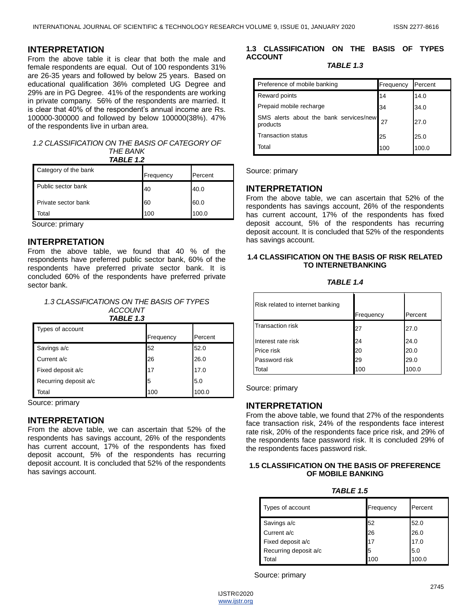## **INTERPRETATION**

From the above table it is clear that both the male and female respondents are equal. Out of 100 respondents 31% are 26-35 years and followed by below 25 years. Based on educational qualification 36% completed UG Degree and 29% are in PG Degree. 41% of the respondents are working in private company. 56% of the respondents are married. It is clear that 40% of the respondent's annual income are Rs. 100000-300000 and followed by below 100000(38%). 47% of the respondents live in urban area.

## *1.2 CLASSIFICATION ON THE BASIS OF CATEGORY OF THE BANK*

*TABLE 1.2*

| Category of the bank | Frequency | Percent |
|----------------------|-----------|---------|
| Public sector bank   | 40        | 40.0    |
| Private sector bank  | 60        | 60.0    |
| Total                | 100       | 100.0   |

Source: primary

#### **INTERPRETATION**

From the above table, we found that 40 % of the respondents have preferred public sector bank, 60% of the respondents have preferred private sector bank. It is concluded 60% of the respondents have preferred private sector bank.

| 1.3 CLASSIFICATIONS ON THE BASIS OF TYPES |
|-------------------------------------------|
| ACCOUNT                                   |

| TABLE 1.3             |           |         |  |  |
|-----------------------|-----------|---------|--|--|
| Types of account      |           |         |  |  |
|                       | Frequency | Percent |  |  |
| Savings a/c           | 52        | 52.0    |  |  |
| Current a/c           | 26        | 26.0    |  |  |
| Fixed deposit a/c     | 17        | 17.0    |  |  |
| Recurring deposit a/c | 5         | 5.0     |  |  |
| Total                 | 100       | 100.0   |  |  |

Source: primary

#### **INTERPRETATION**

From the above table, we can ascertain that 52% of the respondents has savings account, 26% of the respondents has current account, 17% of the respondents has fixed deposit account, 5% of the respondents has recurring deposit account. It is concluded that 52% of the respondents has savings account.

#### **1.3 CLASSIFICATION ON THE BASIS OF TYPES ACCOUNT**

*TABLE 1.3*

| Preference of mobile banking                       | Frequency | Percent |
|----------------------------------------------------|-----------|---------|
| Reward points                                      | 14        | 14.0    |
| Prepaid mobile recharge                            | 34        | 34.0    |
| SMS alerts about the bank services/new<br>products | 27        | 27.0    |
| <b>Transaction status</b>                          | 25        | 25.0    |
| Total                                              | 100       | 100.0   |

Source: primary

## **INTERPRETATION**

From the above table, we can ascertain that 52% of the respondents has savings account, 26% of the respondents has current account, 17% of the respondents has fixed deposit account, 5% of the respondents has recurring deposit account. It is concluded that 52% of the respondents has savings account.

#### **1.4 CLASSIFICATION ON THE BASIS OF RISK RELATED TO INTERNETBANKING**

*TABLE 1.4* 

| Risk related to internet banking | Frequency | Percent |
|----------------------------------|-----------|---------|
| <b>Transaction risk</b>          | 27        | 27.0    |
| Interest rate risk               | 24        | 24.0    |
| Price risk                       | 20        | 20.0    |
| Password risk                    | 29        | 29.0    |
| Total                            |           |         |

Source: primary

## **INTERPRETATION**

From the above table, we found that 27% of the respondents face transaction risk, 24% of the respondents face interest rate risk, 20% of the respondents face price risk, and 29% of the respondents face password risk. It is concluded 29% of the respondents faces password risk.

#### **1.5 CLASSIFICATION ON THE BASIS OF PREFERENCE OF MOBILE BANKING**

| TABLE |  |  |
|-------|--|--|
|-------|--|--|

| Types of account      | Frequency | Percent |
|-----------------------|-----------|---------|
| Savings a/c           | 52        | 52.0    |
| Current a/c           | 26        | 26.0    |
| Fixed deposit a/c     | 17        | 17.0    |
| Recurring deposit a/c | 5         | 5.0     |
| Total                 | 100       | 100.0   |

Source: primary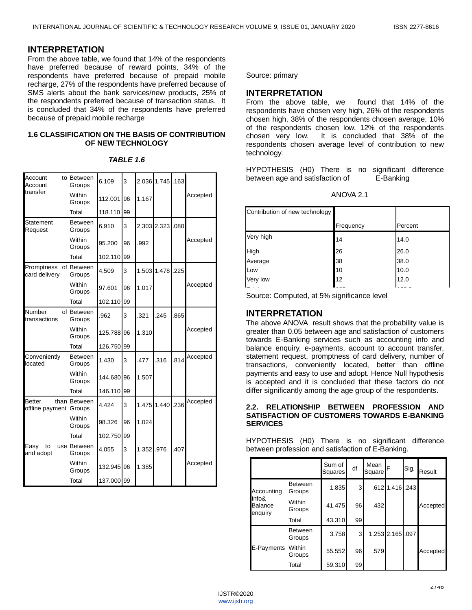#### **INTERPRETATION**

From the above table, we found that 14% of the respondents have preferred because of reward points, 34% of the respondents have preferred because of prepaid mobile recharge, 27% of the respondents have preferred because of SMS alerts about the bank services/new products, 25% of the respondents preferred because of transaction status. It is concluded that 34% of the respondents have preferred because of prepaid mobile recharge

#### **1.6 CLASSIFICATION ON THE BASIS OF CONTRIBUTION OF NEW TECHNOLOGY**

| Account<br>Account                      | to Between<br>Groups     | 6.109      | 3  |       | 2.036 1.745 .163 |      |          |
|-----------------------------------------|--------------------------|------------|----|-------|------------------|------|----------|
| transfer                                | Within<br>Groups         | 112.001    | 96 | 1.167 |                  |      | Accepted |
|                                         | Total                    | 118.110    | 99 |       |                  |      |          |
| Statement<br>Request                    | <b>Between</b><br>Groups | 6.910      | 3  |       | 2.303 2.323      | .080 |          |
|                                         | Within<br>Groups         | 95.200     | 96 | .992  |                  |      | Accepted |
|                                         | Total                    | 102.110    | 99 |       |                  |      |          |
| Promptness<br>card delivery             | of Between<br>Groups     | 4.509      | 3  |       | 1.503 1.478      | .225 |          |
|                                         | Within<br>Groups         | 97.601     | 96 | 1.017 |                  |      | Accepted |
|                                         | Total                    | 102.110    | 99 |       |                  |      |          |
| Number<br>transactions                  | of Between<br>Groups     | .962       | 3  | .321  | .245             | .865 |          |
|                                         | Within<br>Groups         | 125.788    | 96 | 1.310 |                  |      | Accepted |
|                                         | Total                    | 126.750    | 99 |       |                  |      |          |
| Conveniently<br>located                 | <b>Between</b><br>Groups | 1.430      | 3  | .477  | .316             | .814 | Accepted |
|                                         | Within<br>Groups         | 144.680    | 96 | 1.507 |                  |      |          |
|                                         | Total                    | 146.110    | 99 |       |                  |      |          |
| <b>Better</b><br>offline payment Groups | than Between             | 4.424      | 3  |       | 1.475 1.440      | .236 | Accepted |
|                                         | Within<br>Groups         | 98.326     | 96 | 1.024 |                  |      |          |
|                                         | Total                    | 102.750    | 99 |       |                  |      |          |
| Easy<br>to<br>and adopt                 | use Between<br>Groups    | 4.055      | 3  | 1.352 | .976             | .407 |          |
|                                         | Within<br>Groups         | 132.945    | 96 | 1.385 |                  |      | Accepted |
|                                         | Total                    | 137.000 99 |    |       |                  |      |          |

#### *TABLE 1.6*

Source: primary

#### **INTERPRETATION**

From the above table, we found that 14% of the respondents have chosen very high, 26% of the respondents chosen high, 38% of the respondents chosen average, 10% of the respondents chosen low, 12% of the respondents chosen very low. It is concluded that 38% of the respondents chosen average level of contribution to new technology.

HYPOTHESIS (H0) There is no significant difference between age and satisfaction of E-Banking

| ANOVA 2.1 |
|-----------|
|-----------|

| Contribution of new technology |           |         |
|--------------------------------|-----------|---------|
|                                | Frequency | Percent |
| Very high                      | 14        | 14.0    |
| <b>High</b>                    | 26        | 26.0    |
| Average                        | 38        | 38.0    |
| Low                            | 10        | 10.0    |
| Very low                       | 12        | 12.0    |
|                                |           |         |

Source: Computed, at 5% significance level

## **INTERPRETATION**

The above ANOVA result shows that the probability value is greater than 0.05 between age and satisfaction of customers towards E-Banking services such as accounting info and balance enquiry, e-payments, account to account transfer, statement request, promptness of card delivery, number of transactions, conveniently located, better than offline payments and easy to use and adopt. Hence Null hypothesis is accepted and it is concluded that these factors do not differ significantly among the age group of the respondents.

#### **2.2. RELATIONSHIP BETWEEN PROFESSION AND SATISFACTION OF CUSTOMERS TOWARDS E-BANKING SERVICES**

HYPOTHESIS (H0) There is no significant difference between profession and satisfaction of E-Banking.

|                                    |                          | Sum of<br>Squares | df | Mean<br>Square | F                | Sig. | Result   |
|------------------------------------|--------------------------|-------------------|----|----------------|------------------|------|----------|
| Accounting                         | <b>Between</b><br>Groups | 1.835             | 3  |                | .612 1.416 .243  |      |          |
| Info&<br><b>Balance</b><br>enquiry | Within<br>Groups         | 41.475            | 96 | .432           |                  |      | Accepted |
|                                    | Total                    | 43.310            | 99 |                |                  |      |          |
|                                    | <b>Between</b><br>Groups | 3.758             | 3  |                | 1.253 2.165 .097 |      |          |
| E-Payments Within                  | Groups                   | 55.552            | 96 | .579           |                  |      | Accepted |
|                                    | Total                    | 59.310            | 99 |                |                  |      |          |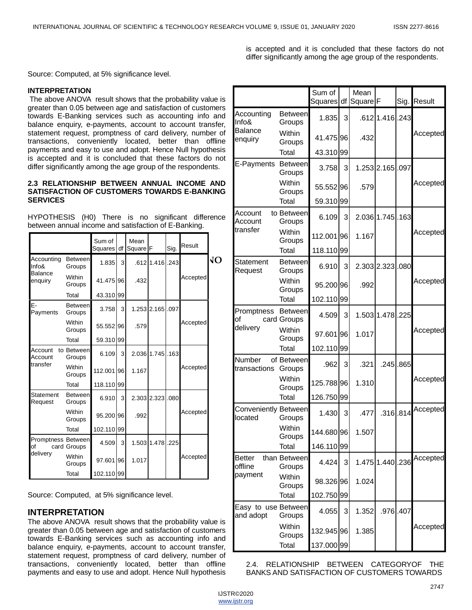is accepted and it is concluded that these factors do not differ significantly among the age group of the respondents.

Source: Computed, at 5% significance level.

#### **INTERPRETATION**

The above ANOVA result shows that the probability value is greater than 0.05 between age and satisfaction of customers towards E-Banking services such as accounting info and balance enquiry, e-payments, account to account transfer, statement request, promptness of card delivery, number of transactions, conveniently located, better than offline payments and easy to use and adopt. Hence Null hypothesis is accepted and it is concluded that these factors do not differ significantly among the age group of the respondents.

#### **2.3 RELATIONSHIP BETWEEN ANNUAL INCOME AND SATISFACTION OF CUSTOMERS TOWARDS E-BANKING SERVICES**

HYPOTHESIS (H0) There is no significant difference between annual income and satisfaction of E-Banking.

|                          |                          | Sum of<br>Squares | df | Mean<br>Square | F            | Sig. | Result   |    |
|--------------------------|--------------------------|-------------------|----|----------------|--------------|------|----------|----|
| Accounting<br>Info&      | <b>Between</b><br>Groups | 1.835             | 3  |                | $.612$ 1.416 | .243 |          | VО |
| Balance<br>enquiry       | Within<br>Groups         | 41.475 96         |    | .432           |              |      | Accepted |    |
|                          | Total                    | 43.310            | 99 |                |              |      |          |    |
| Ε-<br>Payments           | <b>Between</b><br>Groups | 3.758             | 3  |                | 1.253 2.165  | .097 |          |    |
|                          | Within<br>Groups         | 55.552 96         |    | .579           |              |      | Accepted |    |
|                          | Total                    | 59.310 99         |    |                |              |      |          |    |
| Account<br>Account       | to Between<br>Groups     | 6.109             | 3  |                | 2.036 1.745  | .163 |          |    |
| transfer                 | Within<br>Groups         | 112.001           | 96 | 1.167          |              |      | Accepted |    |
|                          | Total                    | 118.110 99        |    |                |              |      |          |    |
| Statement<br>Request     | <b>Between</b><br>Groups | 6.910             | 3  |                | 2.303 2.323  | .080 |          |    |
|                          | Within<br>Groups         | 95.200 96         |    | .992           |              |      | Accepted |    |
|                          | Total                    | 102.110           | 99 |                |              |      |          |    |
| Promptness Between<br>οf | card Groups              | 4.509             | 3  |                | 1.503 1.478  | .225 |          |    |
| delivery                 | Within<br>Groups         | 97.601            | 96 | 1.017          |              |      | Accepted |    |
|                          | Total                    | 102.110 99        |    |                |              |      |          |    |

Source: Computed, at 5% significance level.

## **INTERPRETATION**

The above ANOVA result shows that the probability value is greater than 0.05 between age and satisfaction of customers towards E-Banking services such as accounting info and balance enquiry, e-payments, account to account transfer, statement request, promptness of card delivery, number of transactions, conveniently located, better than offline payments and easy to use and adopt. Hence Null hypothesis

|                                  |                               | Sum of<br><b>Squares</b> | df | Mean<br>Square <sup>F</sup> |                  |               | Sig. Result |
|----------------------------------|-------------------------------|--------------------------|----|-----------------------------|------------------|---------------|-------------|
| Accounting<br>Info&              | <b>Between</b><br>Groups      | 1.835                    | 3  |                             | $.612$ 1.416     | .243          |             |
| Balance<br>enquiry               | Within<br>Groups              | 41.475 96                |    | .432                        |                  |               | Accepted    |
|                                  | Total                         | 43.310 99                |    |                             |                  |               |             |
| E-Payments                       | Between<br>Groups             | 3.758                    | 3  |                             | 1.253 2.165 .097 |               |             |
|                                  | Within<br>Groups              | 55.55296                 |    | .579                        |                  |               | Accepted    |
|                                  | Total                         | 59.310 99                |    |                             |                  |               |             |
| Account<br>Account               | to Between<br>Groups          | 6.109                    | 3  |                             | 2.036 1.745 .163 |               |             |
| transfer                         | Within<br>Groups              | 112.001 96               |    | 1.167                       |                  |               | Accepted    |
|                                  | Total                         | 118.110 99               |    |                             |                  |               |             |
| Statement<br>Request             | <b>Between</b><br>Groups      | 6.910                    | 3  |                             | 2.303 2.323      | .080          |             |
|                                  | Within<br>Groups              | 95.200 96                |    | .992                        |                  |               | Accepted    |
|                                  | Total                         | 102.110 99               |    |                             |                  |               |             |
| Promptness<br>οf                 | <b>Between</b><br>card Groups | 4.509                    | 3  |                             | 1.503 1.478 .225 |               |             |
| delivery                         | Within<br>Groups              | 97.601 96                |    | 1.017                       |                  |               | Accepted    |
|                                  | Total                         | 102.110 99               |    |                             |                  |               |             |
| Number<br>transactions           | of Between<br>Groups          | .962                     | 3  | .321                        |                  | $.245$ .865   |             |
|                                  | Within<br>Groups              | 125.788 96               |    | 1.310                       |                  |               | Accepted    |
|                                  | Total                         | 126.750 99               |    |                             |                  |               |             |
| Conveniently Between<br>located  | Groups                        | 1.430                    | 3  | .477                        |                  | $.316$ $.814$ | Accepted    |
|                                  | Within<br>Groups              | 144.680 96               |    | 1.507                       |                  |               |             |
|                                  | Total                         | 146.110 99               |    |                             |                  |               |             |
| Better<br>offline                | than Between<br>Groups        | 4.424                    | 3  |                             | 1.475 1.440 236  |               | Accepted    |
| payment                          | Within<br>Groups              | 98.326 96                |    | 1.024                       |                  |               |             |
|                                  | <b>Total</b>                  | 102.750 99               |    |                             |                  |               |             |
| Easy to use Between<br>and adopt | Groups                        | 4.055                    | 3  | 1.352                       | .976             | .407          |             |
|                                  | Within<br>Groups              | 132.945 96               |    | 1.385                       |                  |               | Accepted    |
|                                  | Total                         | 137.000 99               |    |                             |                  |               |             |

2.4. RELATIONSHIP BETWEEN CATEGORYOF THE BANKS AND SATISFACTION OF CUSTOMERS TOWARDS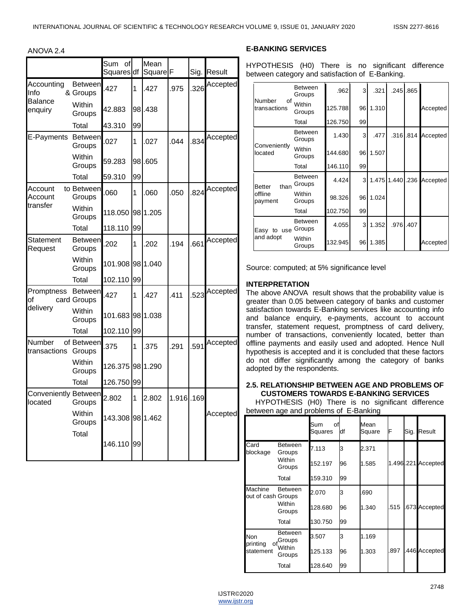ANOVA 2.4

|                                 |                               | Sum<br>of<br>Squares df |    | Mean<br>Square <sup>F</sup> |           | Sig. | Result   |
|---------------------------------|-------------------------------|-------------------------|----|-----------------------------|-----------|------|----------|
| Accounting<br>Info              | <b>Between</b><br>& Groups    | .427                    | 1  | .427                        | .975      | .326 | Accepted |
| <b>Balance</b><br>enquiry       | Within<br>Groups              | 42.883                  |    | 98.438                      |           |      |          |
|                                 | Total                         | 43.310                  | 99 |                             |           |      |          |
| E-Payments Between              | Groups                        | .027                    | 1  | .027                        | .044      | .834 | Accepted |
|                                 | Within<br>Groups              | 59.283                  |    | 98.605                      |           |      |          |
|                                 | Total                         | 59.310                  | 99 |                             |           |      |          |
| Account<br>Account              | to Between<br>Groups          | .060                    | 1  | .060                        | .050      | .824 | Accepted |
| transfer                        | Within<br>Groups              | 118.050                 |    | 98 1.205                    |           |      |          |
|                                 | Total                         | 118.110                 | 99 |                             |           |      |          |
| Statement<br>Request            | <b>Between</b><br>Groups      | .202                    | 1  | .202                        | .194      | .661 | Accepted |
|                                 | Within<br>Groups              | 101.908                 |    | 98 1.040                    |           |      |          |
|                                 | Total                         | 102.110                 | 99 |                             |           |      |          |
| Promptness<br>of                | <b>Between</b><br>card Groups | .427                    | 1  | .427                        | .411      | 523  | Accepted |
| delivery                        | Within<br>Groups              | 101.683                 |    | 98 1.038                    |           |      |          |
|                                 | Total                         | 102.110                 | 99 |                             |           |      |          |
| Number<br>transactions          | of Between<br>Groups          | .375                    | 1  | .375                        | .291      | .591 | Accepted |
|                                 | Within<br>Groups              | 126.375 98 1.290        |    |                             |           |      |          |
|                                 | Total                         | 126.750                 | 99 |                             |           |      |          |
| Conveniently Between<br>located | Groups                        | 2.802                   | 1  | 2.802                       | 1.916.169 |      |          |
|                                 | Within<br>Groups              | 143.308 98 1.462        |    |                             |           |      | Accepted |
|                                 | Total                         | 146.110                 | 99 |                             |           |      |          |

#### **E-BANKING SERVICES**

HYPOTHESIS (H0) There is no significant difference between category and satisfaction of E-Banking.

|                         | <b>Between</b><br>Groups | .962    | 3  | .321  |                  | .245 .865   |          |
|-------------------------|--------------------------|---------|----|-------|------------------|-------------|----------|
| Number<br>transactions  | of Within<br>Groups      | 125.788 | 96 | 1.310 |                  |             | Accepted |
|                         | Total                    | 126.750 | 99 |       |                  |             |          |
|                         | <b>Between</b><br>Groups | 1.430   | 3  | .477  |                  | $.316$ .814 | Accepted |
| Conveniently<br>located | Within<br>Groups         | 144.680 | 96 | 1.507 |                  |             |          |
|                         | Total                    | 146.110 | 99 |       |                  |             |          |
| than<br><b>Better</b>   | <b>Between</b><br>Groups | 4.424   | 3  |       | 1.475 1.440 .236 |             | Accepted |
| offline<br>payment      | Within<br>Groups         | 98.326  | 96 | 1.024 |                  |             |          |
|                         | Total                    | 102.750 | 99 |       |                  |             |          |
| Easy to use             | <b>Between</b><br>Groups | 4.055   | 3  | 1.352 | .976             | .407        |          |
| and adopt               | Within<br>Groups         | 132.945 | 96 | 1.385 |                  |             | Accepted |

Source: computed; at 5% significance level

#### **INTERPRETATION**

The above ANOVA result shows that the probability value is greater than 0.05 between category of banks and customer satisfaction towards E-Banking services like accounting info and balance enquiry, e-payments, account to account transfer, statement request, promptness of card delivery, number of transactions, conveniently located, better than offline payments and easily used and adopted. Hence Null hypothesis is accepted and it is concluded that these factors do not differ significantly among the category of banks adopted by the respondents.

#### **2.5. RELATIONSHIP BETWEEN AGE AND PROBLEMS OF CUSTOMERS TOWARDS E-BANKING SERVICES**

HYPOTHESIS (H0) There is no significant difference between age and problems of E-Banking

|                               |                            | Sum<br>оf<br>Squares | df | Mean<br>Square | F   | Sig. | Result             |
|-------------------------------|----------------------------|----------------------|----|----------------|-----|------|--------------------|
| Card<br>blockage              | <b>Between</b><br>Groups   | 7.113                | lЗ | 2.371          |     |      |                    |
|                               | Within<br>Groups           | 152.197              | 96 | 1.585          |     |      | 1.496.221 Accepted |
|                               | Total                      | 159.310              | 99 |                |     |      |                    |
| Machine<br>out of cash Groups | <b>Between</b>             | 2.070                | lЗ | .690           |     |      |                    |
|                               | Within<br>Groups           | 128.680              | 96 | 1.340          | 515 |      | 673 Accepted       |
|                               | Total                      | 130.750              | 99 |                |     |      |                    |
| <b>Non</b><br>printing        | <b>Between</b><br>ofGroups | 3.507                | lЗ | 1.169          |     |      |                    |
| statement                     | Within<br>Groups           | 125.133              | 96 | 1.303          | 897 |      | 446 Accepted       |
|                               | Total                      | 128.640              | 99 |                |     |      |                    |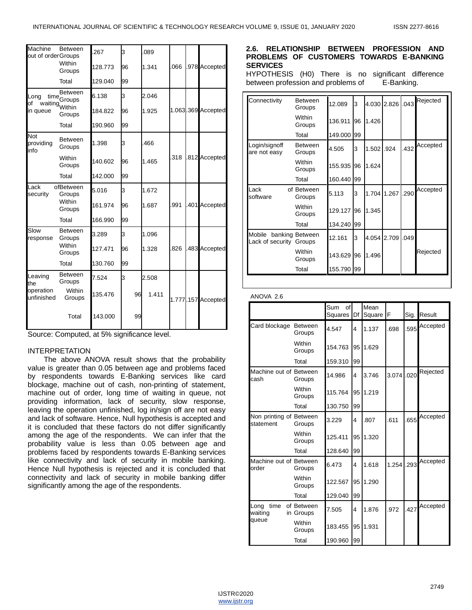| Machine<br>out of orderGroups   | <b>Between</b>                    | 267     | З  | 089   |     |                    |
|---------------------------------|-----------------------------------|---------|----|-------|-----|--------------------|
|                                 | Within<br>Groups                  | 128.773 | 96 | 1.341 | 066 | 978 Accepted       |
|                                 | Total                             | 129.040 | 99 |       |     |                    |
| Long<br>of                      | <b>Between</b><br>$time_{Groups}$ | 6.138   | 3  | 2.046 |     |                    |
| in queue                        | waiting Within<br>Groups          | 184.822 | 96 | 1.925 |     | 1.063.369 Accepted |
|                                 | Total                             | 190.960 | 99 |       |     |                    |
| <b>Not</b><br>providing<br>info | <b>Between</b><br>Groups          | 1.398   | 3  | 466   |     |                    |
|                                 | Within<br>Groups                  | 140.602 | 96 | 1.465 | 318 | 812 Accepted       |
|                                 | Total                             | 142.000 | 99 |       |     |                    |
| Lack<br>security                | ofBetween<br>Groups               | 5.016   | 3  | 1.672 |     |                    |
|                                 | Within<br>Groups                  | 161.974 | 96 | 1.687 | 991 | 401 Accepted       |
|                                 | Total                             | 166.990 | 99 |       |     |                    |
| Slow<br>response                | <b>Between</b><br>Groups          | 3.289   | 3  | 1.096 |     |                    |
|                                 | Within<br>Groups                  | 127.471 | 96 | 1.328 | 826 | 483 Accepted       |
|                                 | Total                             | 130.760 | 99 |       |     |                    |
| Leaving<br>the                  | <b>Between</b><br>Groups          | 7.524   | 3  | 2.508 |     |                    |
| operation<br>unfinished         | Within<br>Groups                  | 135.476 | 96 | 1.411 |     | 1.777.157 Accepted |
|                                 | Total                             | 143.000 | 99 |       |     |                    |

Source: Computed, at 5% significance level.

#### INTERPRETATION

 The above ANOVA result shows that the probability value is greater than 0.05 between age and problems faced by respondents towards E-Banking services like card blockage, machine out of cash, non-printing of statement, machine out of order, long time of waiting in queue, not providing information, lack of security, slow response, leaving the operation unfinished, log in/sign off are not easy and lack of software. Hence, Null hypothesis is accepted and it is concluded that these factors do not differ significantly among the age of the respondents. We can infer that the probability value is less than 0.05 between age and problems faced by respondents towards E-Banking services like connectivity and lack of security in mobile banking. Hence Null hypothesis is rejected and it is concluded that connectivity and lack of security in mobile banking differ significantly among the age of the respondents.

#### **2.6. RELATIONSHIP BETWEEN PROFESSION AND PROBLEMS OF CUSTOMERS TOWARDS E-BANKING SERVICES**

HYPOTHESIS (H0) There is no significant difference between profession and problems of E-Banking.

| Connectivity                      | <b>Between</b><br>Groups | 12.089     | 3  |       | 4.030 2.826 | .043 | Rejected |
|-----------------------------------|--------------------------|------------|----|-------|-------------|------|----------|
|                                   | Within<br>Groups         | 136.911    | 96 | 1.426 |             |      |          |
|                                   | Total                    | 149.000    | 99 |       |             |      |          |
| Login/signoff<br>are not easy     | <b>Between</b><br>Groups | 4.505      | 3  | 1.502 | .924        | .432 | Accepted |
|                                   | Within<br>Groups         | 155.935    | 96 | 1.624 |             |      |          |
|                                   | Total                    | 160.440    | 99 |       |             |      |          |
| Lack<br>software                  | of Between<br>Groups     | 5.113      | 3  | 1.704 | 1.267       | .290 | Accepted |
|                                   | Within<br>Groups         | 129.127    | 96 | 1.345 |             |      |          |
|                                   | Total                    | 134.240 99 |    |       |             |      |          |
| Mobile<br>Lack of security Groups | banking Between          | 12.161     | 3  | 4.054 | 2.709       | .049 |          |
|                                   | Within<br>Groups         | 143.629    | 96 | 1.496 |             |      | Rejected |
|                                   | Total                    | 155.790    | 99 |       |             |      |          |

#### ANOVA 2.6

|                                      |                         | Sum<br>of<br>Squares | Df        | Mean<br>Square | F     | Sig. | Result   |
|--------------------------------------|-------------------------|----------------------|-----------|----------------|-------|------|----------|
| Card blockage Between                | Groups                  | 4.547                | 4         | 1.137          | .698  | .595 | Accepted |
|                                      | Within<br>Groups        | 154.763              | 95        | 1.629          |       |      |          |
|                                      | Total                   | 159.310              | 99        |                |       |      |          |
| Machine out of Between<br>cash       | Groups                  | 14.986               | 4         | 3.746          | 3.074 | .020 | Rejected |
|                                      | Within<br>Groups        | 115.764              | 95        | 1.219          |       |      |          |
|                                      | Total                   | 130.750              | 99        |                |       |      |          |
| Non printing of Between<br>statement | Groups                  | 3.229                | 4         | .807           | .611  | .655 | Accepted |
|                                      | Within<br>Groups        | 125.411              | $95 \mid$ | 1.320          |       |      |          |
|                                      | Total                   | 128.640              | 99        |                |       |      |          |
| Machine out of Between<br>order      | Groups                  | 6.473                | 4         | 1.618          | 1.254 | .293 | Accepted |
|                                      | Within<br>Groups        | 122.567              | 95        | 1.290          |       |      |          |
|                                      | Total                   | 129.040              | 99        |                |       |      |          |
| Long<br>time<br>waiting              | of Between<br>in Groups | 7.505                | 4         | 1.876          | .972  | .427 | Accepted |
| queue                                | Within<br>Groups        | 183.455              | 95        | 1.931          |       |      |          |
|                                      | Total                   | 190.960              | 99        |                |       |      |          |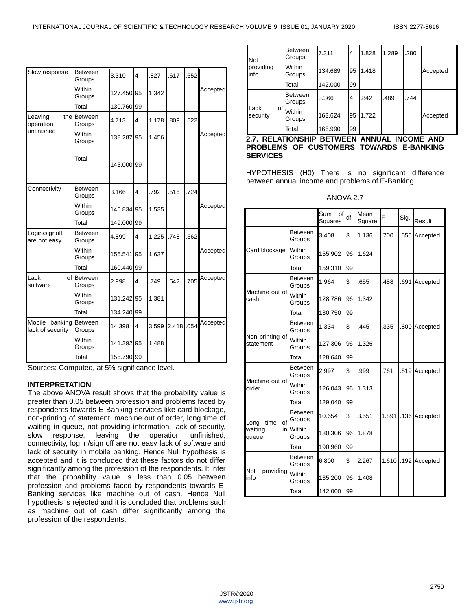| Slow response                              | <b>Between</b><br>Groups | 3.310      | $\overline{\mathbf{4}}$ | .827  | .617      | .652 |          |
|--------------------------------------------|--------------------------|------------|-------------------------|-------|-----------|------|----------|
|                                            | Within<br>Groups         | 127.450 95 |                         | 1.342 |           |      | Accepted |
|                                            | Total                    | 130.760 99 |                         |       |           |      |          |
| Leaving<br>operation                       | the Between<br>Groups    | 4.713      | $\overline{\mathbf{4}}$ | 1.178 | .809      | 522  |          |
| unfinished                                 | Within<br>Groups         | 138.287 95 |                         | 1.456 |           |      | Accepted |
|                                            | Total                    | 143.000 99 |                         |       |           |      |          |
| Connectivity                               | <b>Between</b><br>Groups | 3.166      | $\overline{\mathbf{4}}$ | .792  | .516      | .724 |          |
|                                            | Within<br>Groups         | 145.834 95 |                         | 1.535 |           |      | Accepted |
|                                            | Total                    | 149.000 99 |                         |       |           |      |          |
| Login/signoff<br>are not easy              | <b>Between</b><br>Groups | 4.899      | 4                       | 1.225 | .748      | .562 |          |
|                                            | Within<br>Groups         | 155.541 95 |                         | 1.637 |           |      | Accepted |
|                                            | Total                    | 160.440 99 |                         |       |           |      |          |
| Lack<br>software                           | of Between<br>Groups     | 2.998      | $\overline{\mathbf{4}}$ | .749  | .542      | .705 | Accepted |
|                                            | Within<br>Groups         | 131.242 95 |                         | 1.381 |           |      |          |
|                                            | Total                    | 134.240 99 |                         |       |           |      |          |
| Mobile banking Between<br>lack of security | Groups                   | 14.398     | $\overline{\mathbf{4}}$ | 3.599 | 2.418.054 |      | Accepted |
|                                            | Within<br>Groups         | 141.392 95 |                         | 1.488 |           |      |          |
|                                            | Total                    | 155.790 99 |                         |       |           |      |          |

Sources: Computed, at 5% significance level.

#### **INTERPRETATION**

The above ANOVA result shows that the probability value is greater than 0.05 between profession and problems faced by respondents towards E-Banking services like card blockage, non-printing of statement, machine out of order, long time of waiting in queue, not providing information, lack of security, slow response, leaving the operation unfinished, connectivity, log in/sign off are not easy lack of software and lack of security in mobile banking. Hence Null hypothesis is accepted and it is concluded that these factors do not differ significantly among the profession of the respondents. It infer that the probability value is less than 0.05 between profession and problems faced by respondents towards E-Banking services like machine out of cash. Hence Null hypothesis is rejected and it is concluded that problems such as machine out of cash differ significantly among the profession of the respondents.

| <b>Not</b>         | <b>Between</b><br>Groups | 7.311   | 4              | 1.828 | 1.289 | .280 |          |
|--------------------|--------------------------|---------|----------------|-------|-------|------|----------|
| providing<br>linfo | Within<br>Groups         | 134.689 | 95             | 1.418 |       |      | Accepted |
|                    | Total                    | 142.000 | 99             |       |       |      |          |
|                    | <b>Between</b><br>Groups | 3.366   | $\overline{4}$ | .842  | .489  | .744 |          |
| Lack<br>security   | οf<br>Within<br>Groups   | 163.624 | 95             | 1.722 |       |      | Accepted |
|                    | Total                    | 166.990 | 99             |       |       |      |          |

#### **2.7. RELATIONSHIP BETWEEN ANNUAL INCOME AND PROBLEMS OF CUSTOMERS TOWARDS E-BANKING SERVICES**

HYPOTHESIS (H0) There is no significant difference between annual income and problems of E-Banking.

ANOVA 2.7

|                                 |                          | Sum<br>of<br>Squares | df | Mean<br>Square | F     | Sig. | Result        |
|---------------------------------|--------------------------|----------------------|----|----------------|-------|------|---------------|
|                                 | <b>Between</b><br>Groups | 3.408                | 3  | 1.136          | .700  |      | 555 Accepted  |
| Card blockage Within            | Groups                   | 155.902              | 96 | 1.624          |       |      |               |
|                                 | Total                    | 159.310              | 99 |                |       |      |               |
|                                 | <b>Between</b><br>Groups | 1.964                | 3  | .655           | .488  | .691 | Accepted      |
| Machine out of<br>cash          | Within<br>Groups         | 128.786              | 96 | 1.342          |       |      |               |
|                                 | Total                    | 130.750              | 99 |                |       |      |               |
|                                 | <b>Between</b><br>Groups | 1.334                | 3  | .445           | .335  |      | .800 Accepted |
| Non printing of<br>statement    | Within<br>Groups         | 127.306              | 96 | 1.326          |       |      |               |
|                                 | Total                    | 128.640              | 99 |                |       |      |               |
|                                 | <b>Between</b><br>Groups | 2.997                | 3  | .999           | .761  |      | .519 Accepted |
| Machine out of<br>order         | Within<br>Groups         | 126.043              | 96 | 1.313          |       |      |               |
|                                 | Total                    | 129.040              | 99 |                |       |      |               |
| of<br>time<br>Long              | <b>Between</b><br>Groups | 10.654               | 3  | 3.551          | 1.891 |      | .136 Accepted |
| waiting<br>queue                | in Within<br>Groups      | 180.306              | 96 | 1.878          |       |      |               |
|                                 | Total                    | 190.960              | 99 |                |       |      |               |
|                                 | <b>Between</b><br>Groups | 6.800                | 3  | 2.267          | 1.610 |      | .192 Accepted |
| Not<br>providing Within<br>info | Groups                   | 135.200              | 96 | 1.408          |       |      |               |
|                                 | Total                    | 142.000              | 99 |                |       |      |               |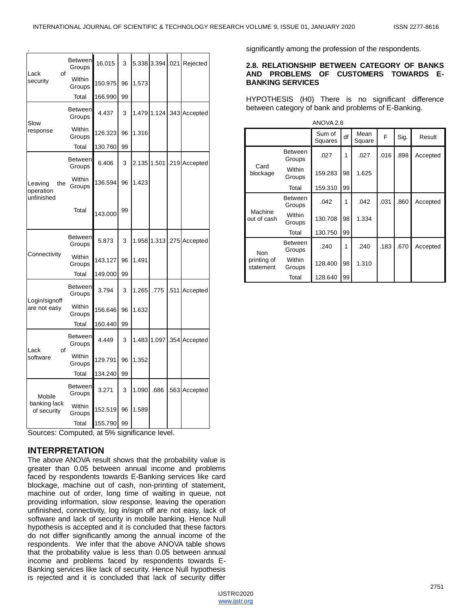| Lack<br>οf                                | <b>Between</b><br>Groups | 16.015  | 3  |       |       | 5.338 3.394 .021 Rejected |
|-------------------------------------------|--------------------------|---------|----|-------|-------|---------------------------|
| security                                  | Within<br>Groups         | 150.975 | 96 | 1.573 |       |                           |
|                                           | Total                    | 166.990 | 99 |       |       |                           |
|                                           | <b>Between</b><br>Groups | 4.437   | 3  | 1.479 |       | 1.124.343 Accepted        |
| Slow<br>response                          | Within<br>Groups         | 126.323 | 96 | 1.316 |       |                           |
|                                           | Total                    | 130.760 | 99 |       |       |                           |
|                                           | <b>Between</b><br>Groups | 6.406   | 3  | 2.135 | 1.501 | .219 Accepted             |
| Leaving<br>the<br>operation<br>unfinished | Within<br>Groups         | 136.594 | 96 | 1.423 |       |                           |
|                                           | Total                    | 143.000 | 99 |       |       |                           |
|                                           | <b>Between</b><br>Groups | 5.873   | 3  | 1.958 |       | 1.313 .275 Accepted       |
| Connectivity                              | Within<br>Groups         | 143.127 | 96 | 1.491 |       |                           |
|                                           | Total                    | 149.000 | 99 |       |       |                           |
| Login/signoff                             | <b>Between</b><br>Groups | 3.794   | 3  | 1.265 | .775  | .511 Accepted             |
| are not easy                              | Within<br>Groups         | 156.646 | 96 | 1.632 |       |                           |
|                                           | Total                    | 160.440 | 99 |       |       |                           |
| Lack<br>of                                | <b>Between</b><br>Groups | 4.449   | 3  |       |       | 1.483 1.097 .354 Accepted |
| software                                  | Within<br>Groups         | 129.791 | 96 | 1.352 |       |                           |
|                                           | Total                    | 134.240 | 99 |       |       |                           |
| Mobile                                    | <b>Between</b><br>Groups | 3.271   | 3  | 1.090 | .686  | .563 Accepted             |
| banking lack<br>of security               | Within<br>Groups         | 152.519 | 96 | 1.589 |       |                           |
|                                           | Total                    | 155.790 | 99 |       |       |                           |

Sources: Computed, at 5% significance level.

## **INTERPRETATION**

The above ANOVA result shows that the probability value is greater than 0.05 between annual income and problems faced by respondents towards E-Banking services like card blockage, machine out of cash, non-printing of statement, machine out of order, long time of waiting in queue, not providing information, slow response, leaving the operation unfinished, connectivity, log in/sign off are not easy, lack of software and lack of security in mobile banking. Hence Null hypothesis is accepted and it is concluded that these factors do not differ significantly among the annual income of the respondents. We infer that the above ANOVA table shows that the probability value is less than 0.05 between annual income and problems faced by respondents towards E-Banking services like lack of security. Hence Null hypothesis is rejected and it is concluded that lack of security differ

significantly among the profession of the respondents.

#### **2.8. RELATIONSHIP BETWEEN CATEGORY OF BANKS AND PROBLEMS OF CUSTOMERS TOWARDS E-BANKING SERVICES**

HYPOTHESIS (H0) There is no significant difference between category of bank and problems of E-Banking.

| ANOVA 2.8                              |                          |                   |    |                |      |      |          |  |  |  |
|----------------------------------------|--------------------------|-------------------|----|----------------|------|------|----------|--|--|--|
|                                        |                          | Sum of<br>Squares | df | Mean<br>Square | F    | Sig. | Result   |  |  |  |
| Card<br>blockage                       | <b>Between</b><br>Groups | .027              | 1  | .027           | .016 | .898 | Accepted |  |  |  |
|                                        | Within<br>Groups         | 159.283           | 98 | 1.625          |      |      |          |  |  |  |
|                                        | Total                    | 159.310           | 99 |                |      |      |          |  |  |  |
| Machine<br>out of cash                 | <b>Between</b><br>Groups | .042              | 1  | .042           | .031 | .860 | Accepted |  |  |  |
|                                        | Within<br>Groups         | 130.708           | 98 | 1.334          |      |      |          |  |  |  |
|                                        | Total                    | 130.750           | 99 |                |      |      |          |  |  |  |
| <b>Non</b><br>printing of<br>statement | <b>Between</b><br>Groups | .240              | 1  | .240           | .183 | .670 | Accepted |  |  |  |
|                                        | Within<br>Groups         | 128.400           | 98 | 1.310          |      |      |          |  |  |  |
|                                        | Total                    | 128.640           | 99 |                |      |      |          |  |  |  |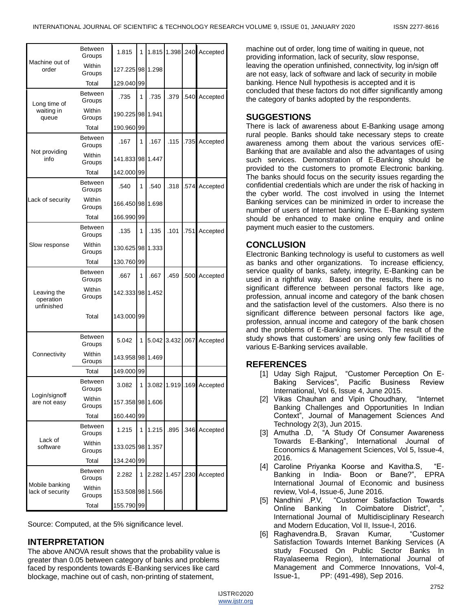|                                        | <b>Between</b><br>Groups | 1.815            | 1  | 1.815 | 1.398 .240  |      | Accepted                  |
|----------------------------------------|--------------------------|------------------|----|-------|-------------|------|---------------------------|
| Machine out of<br>order                | Within<br>Groups         | 127.225 98 1.298 |    |       |             |      |                           |
|                                        | Total                    | 129.040          | 99 |       |             |      |                           |
| Long time of                           | <b>Between</b><br>Groups | .735             | 1  | .735  | .379        |      | .540 Accepted             |
| waiting in<br>queue                    | Within<br>Groups         | 190.225          | 98 | 1.941 |             |      |                           |
|                                        | Total                    | 190.960          | 99 |       |             |      |                           |
|                                        | <b>Between</b><br>Groups | .167             | 1  | .167  | .115        | .735 | Accepted                  |
| Not providing<br>info                  | Within<br>Groups         | 141.833 98       |    | 1.447 |             |      |                           |
|                                        | Total                    | 142.000 99       |    |       |             |      |                           |
|                                        | Between<br>Groups        | .540             | 1  | .540  | .318        | .574 | Accepted                  |
| Lack of security                       | Within<br>Groups         | 166.450 98 1.698 |    |       |             |      |                           |
|                                        | Total                    | 166.990          | 99 |       |             |      |                           |
|                                        | <b>Between</b><br>Groups | .135             | 1  | .135  | .101        | .751 | Accepted                  |
| Slow response                          | Within<br>Groups         | 130.625          | 98 | 1.333 |             |      |                           |
|                                        | Total                    | 130.760          | 99 |       |             |      |                           |
|                                        | <b>Between</b><br>Groups | .667             | 1  | .667  | .459        |      | .500 Accepted             |
| Leaving the<br>operation<br>unfinished | Within<br>Groups         | 142.333 98 1.452 |    |       |             |      |                           |
|                                        | Total                    | 143.000 99       |    |       |             |      |                           |
|                                        | Between<br>Groups        | 5.042            | 1  |       | 5.042 3.432 | .067 | Accepted                  |
| Connectivity                           | Within<br>Groups         | 143.958 98 1.469 |    |       |             |      |                           |
|                                        | Total                    | 149.000          | 99 |       |             |      |                           |
|                                        | <b>Between</b><br>Groups | 3.082            | 1  |       |             |      | 3.082 1.919 .169 Accepted |
| Login/signoff<br>are not easy          | Within<br>Groups         | 157.358 98 1.606 |    |       |             |      |                           |
|                                        | Total                    | 160.440 99       |    |       |             |      |                           |
|                                        | Between<br>Groups        | 1.215            | 1  | 1.215 | .895        |      | 346 Accepted              |
| Lack of<br>software                    | Within<br>Groups         | 133.025          | 98 | 1.357 |             |      |                           |
|                                        | Total                    | 134.240 99       |    |       |             |      |                           |
|                                        | <b>Between</b><br>Groups | 2.282            | 1  | 2.282 | 1.457       |      | .230 Accepted             |
| Mobile banking<br>lack of security     | Within<br>Groups         | 153.508 98 1.566 |    |       |             |      |                           |
|                                        | Total                    | 155.790 99       |    |       |             |      |                           |

Source: Computed, at the 5% significance level.

# **INTERPRETATION**

The above ANOVA result shows that the probability value is greater than 0.05 between category of banks and problems faced by respondents towards E-Banking services like card blockage, machine out of cash, non-printing of statement,

machine out of order, long time of waiting in queue, not providing information, lack of security, slow response, leaving the operation unfinished, connectivity, log in/sign off are not easy, lack of software and lack of security in mobile banking. Hence Null hypothesis is accepted and it is concluded that these factors do not differ significantly among the category of banks adopted by the respondents.

# **SUGGESTIONS**

There is lack of awareness about E-Banking usage among rural people. Banks should take necessary steps to create awareness among them about the various services ofE-Banking that are available and also the advantages of using such services. Demonstration of E-Banking should be provided to the customers to promote Electronic banking. The banks should focus on the security issues regarding the confidential credentials which are under the risk of hacking in the cyber world. The cost involved in using the Internet Banking services can be minimized in order to increase the number of users of Internet banking. The E-Banking system should be enhanced to make online enquiry and online payment much easier to the customers.

# **CONCLUSION**

Electronic Banking technology is useful to customers as well as banks and other organizations. To increase efficiency, service quality of banks, safety, integrity, E-Banking can be used in a rightful way. Based on the results, there is no significant difference between personal factors like age, profession, annual income and category of the bank chosen and the satisfaction level of the customers. Also there is no significant difference between personal factors like age, profession, annual income and category of the bank chosen and the problems of E-Banking services. The result of the study shows that customers' are using only few facilities of various E-Banking services available.

# **REFERENCES**

- [1] Uday Sigh Rajput, "Customer Perception On E-Baking Services", Pacific Business Review International, Vol 6, Issue 4, June 2015.
- [2] Vikas Chauhan and Vipin Choudhary, "Internet Banking Challenges and Opportunities In Indian Context", Journal of Management Sciences And Technology 2(3), Jun 2015.
- [3] Amutha .D, "A Study Of Consumer Awareness Towards E-Banking", International Journal of Economics & Management Sciences, Vol 5, Issue-4, 2016.
- [4] Caroline Priyanka Koorse and Kavitha.S, "E-Banking in India- Boon or Bane?", EPRA International Journal of Economic and business review, Vol-4, Issue-6, June 2016.
- [5] Nandhini .P.V, "Customer Satisfaction Towards Online Banking In Coimbatore District", International Journal of Multidisciplinary Research and Modern Education, Vol II, Issue-I, 2016.
- [6] Raghavendra.B, Sravan Kumar, "Customer Satisfaction Towards Internet Banking Services (A study Focused On Public Sector Banks In Rayalaseema Region), International Journal of Management and Commerce Innovations, Vol-4, Issue-1, PP: (491-498), Sep 2016.